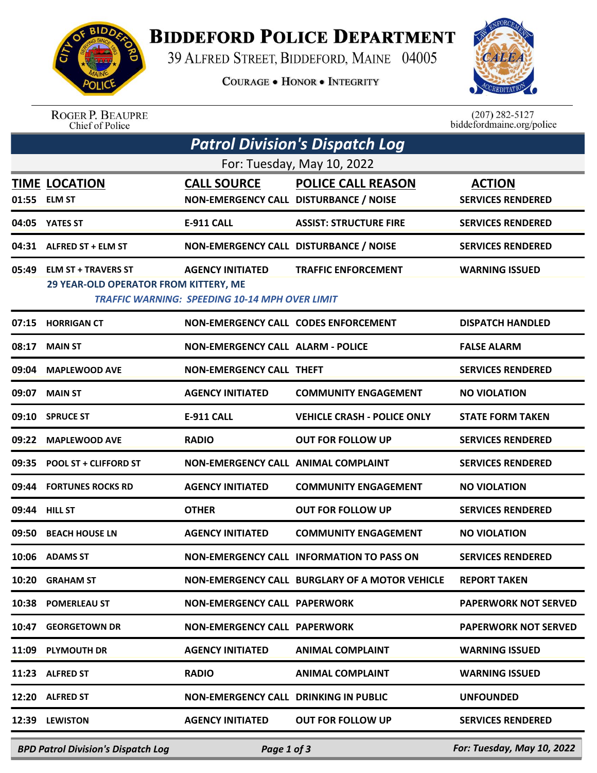

## **BIDDEFORD POLICE DEPARTMENT**

39 ALFRED STREET, BIDDEFORD, MAINE 04005

**COURAGE . HONOR . INTEGRITY** 



ROGER P. BEAUPRE<br>Chief of Police

 $(207)$  282-5127<br>biddefordmaine.org/police

| Patrol Division's Dispatch Log |                                                                     |                                                                                  |                                                |                             |  |  |  |  |
|--------------------------------|---------------------------------------------------------------------|----------------------------------------------------------------------------------|------------------------------------------------|-----------------------------|--|--|--|--|
| For: Tuesday, May 10, 2022     |                                                                     |                                                                                  |                                                |                             |  |  |  |  |
|                                | <b>TIME LOCATION</b>                                                | <b>CALL SOURCE</b>                                                               | <b>POLICE CALL REASON</b>                      | <b>ACTION</b>               |  |  |  |  |
| 01:55                          | <b>ELM ST</b>                                                       | NON-EMERGENCY CALL DISTURBANCE / NOISE                                           |                                                | <b>SERVICES RENDERED</b>    |  |  |  |  |
| 04:05                          | <b>YATES ST</b>                                                     | <b>E-911 CALL</b>                                                                | <b>ASSIST: STRUCTURE FIRE</b>                  | <b>SERVICES RENDERED</b>    |  |  |  |  |
| 04:31                          | ALFRED ST + ELM ST                                                  | NON-EMERGENCY CALL DISTURBANCE / NOISE                                           |                                                | <b>SERVICES RENDERED</b>    |  |  |  |  |
| 05:49                          | <b>ELM ST + TRAVERS ST</b><br>29 YEAR-OLD OPERATOR FROM KITTERY, ME | <b>AGENCY INITIATED</b><br><b>TRAFFIC WARNING: SPEEDING 10-14 MPH OVER LIMIT</b> | <b>TRAFFIC ENFORCEMENT</b>                     | <b>WARNING ISSUED</b>       |  |  |  |  |
| 07:15                          | <b>HORRIGAN CT</b>                                                  | NON-EMERGENCY CALL CODES ENFORCEMENT                                             |                                                | <b>DISPATCH HANDLED</b>     |  |  |  |  |
| 08:17                          | <b>MAIN ST</b>                                                      | <b>NON-EMERGENCY CALL ALARM - POLICE</b>                                         |                                                | <b>FALSE ALARM</b>          |  |  |  |  |
| 09:04                          | <b>MAPLEWOOD AVE</b>                                                | <b>NON-EMERGENCY CALL THEFT</b>                                                  |                                                | <b>SERVICES RENDERED</b>    |  |  |  |  |
| 09:07                          | <b>MAIN ST</b>                                                      | <b>AGENCY INITIATED</b>                                                          | <b>COMMUNITY ENGAGEMENT</b>                    | <b>NO VIOLATION</b>         |  |  |  |  |
| 09:10                          | <b>SPRUCE ST</b>                                                    | <b>E-911 CALL</b>                                                                | <b>VEHICLE CRASH - POLICE ONLY</b>             | <b>STATE FORM TAKEN</b>     |  |  |  |  |
| 09:22                          | <b>MAPLEWOOD AVE</b>                                                | <b>RADIO</b>                                                                     | <b>OUT FOR FOLLOW UP</b>                       | <b>SERVICES RENDERED</b>    |  |  |  |  |
| 09:35                          | <b>POOL ST + CLIFFORD ST</b>                                        | NON-EMERGENCY CALL ANIMAL COMPLAINT                                              |                                                | <b>SERVICES RENDERED</b>    |  |  |  |  |
| 09:44                          | <b>FORTUNES ROCKS RD</b>                                            | <b>AGENCY INITIATED</b>                                                          | <b>COMMUNITY ENGAGEMENT</b>                    | <b>NO VIOLATION</b>         |  |  |  |  |
| 09:44                          | <b>HILL ST</b>                                                      | <b>OTHER</b>                                                                     | <b>OUT FOR FOLLOW UP</b>                       | <b>SERVICES RENDERED</b>    |  |  |  |  |
| 09:50                          | <b>BEACH HOUSE LN</b>                                               | <b>AGENCY INITIATED</b>                                                          | <b>COMMUNITY ENGAGEMENT</b>                    | <b>NO VIOLATION</b>         |  |  |  |  |
| 10:06                          | <b>ADAMS ST</b>                                                     |                                                                                  | NON-EMERGENCY CALL INFORMATION TO PASS ON      | <b>SERVICES RENDERED</b>    |  |  |  |  |
| 10:20                          | <b>GRAHAM ST</b>                                                    |                                                                                  | NON-EMERGENCY CALL BURGLARY OF A MOTOR VEHICLE | <b>REPORT TAKEN</b>         |  |  |  |  |
| 10:38                          | <b>POMERLEAU ST</b>                                                 | <b>NON-EMERGENCY CALL PAPERWORK</b>                                              |                                                | <b>PAPERWORK NOT SERVED</b> |  |  |  |  |
| 10:47                          | <b>GEORGETOWN DR</b>                                                | <b>NON-EMERGENCY CALL PAPERWORK</b>                                              |                                                | <b>PAPERWORK NOT SERVED</b> |  |  |  |  |
| 11:09                          | <b>PLYMOUTH DR</b>                                                  | <b>AGENCY INITIATED</b>                                                          | <b>ANIMAL COMPLAINT</b>                        | <b>WARNING ISSUED</b>       |  |  |  |  |
| 11:23                          | <b>ALFRED ST</b>                                                    | <b>RADIO</b>                                                                     | <b>ANIMAL COMPLAINT</b>                        | <b>WARNING ISSUED</b>       |  |  |  |  |
|                                | 12:20 ALFRED ST                                                     | <b>NON-EMERGENCY CALL DRINKING IN PUBLIC</b>                                     |                                                | <b>UNFOUNDED</b>            |  |  |  |  |
|                                | 12:39 LEWISTON                                                      | <b>AGENCY INITIATED</b>                                                          | <b>OUT FOR FOLLOW UP</b>                       | <b>SERVICES RENDERED</b>    |  |  |  |  |
|                                | <b>BPD Patrol Division's Dispatch Log</b>                           | Page 1 of 3                                                                      |                                                | For: Tuesday, May 10, 2022  |  |  |  |  |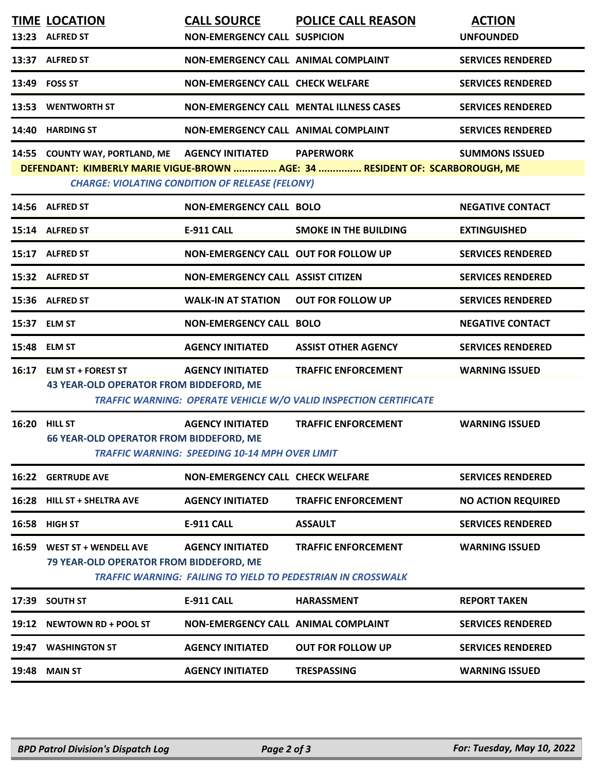|       | <b>TIME LOCATION</b><br>13:23 ALFRED ST                                    | <b>CALL SOURCE</b><br><b>NON-EMERGENCY CALL SUSPICION</b>                        | <b>POLICE CALL REASON</b>                                                                        | <b>ACTION</b><br><b>UNFOUNDED</b> |
|-------|----------------------------------------------------------------------------|----------------------------------------------------------------------------------|--------------------------------------------------------------------------------------------------|-----------------------------------|
|       | 13:37 ALFRED ST                                                            | NON-EMERGENCY CALL ANIMAL COMPLAINT                                              |                                                                                                  | <b>SERVICES RENDERED</b>          |
|       | 13:49 FOSS ST                                                              | NON-EMERGENCY CALL CHECK WELFARE                                                 |                                                                                                  | <b>SERVICES RENDERED</b>          |
|       | 13:53 WENTWORTH ST                                                         |                                                                                  | <b>NON-EMERGENCY CALL MENTAL ILLNESS CASES</b>                                                   | <b>SERVICES RENDERED</b>          |
|       | 14:40 HARDING ST                                                           | NON-EMERGENCY CALL ANIMAL COMPLAINT                                              |                                                                                                  | <b>SERVICES RENDERED</b>          |
|       | 14:55 COUNTY WAY, PORTLAND, ME AGENCY INITIATED                            | <b>CHARGE: VIOLATING CONDITION OF RELEASE (FELONY)</b>                           | <b>PAPERWORK</b><br>DEFENDANT: KIMBERLY MARIE VIGUE-BROWN  AGE: 34  RESIDENT OF: SCARBOROUGH, ME | <b>SUMMONS ISSUED</b>             |
|       | 14:56 ALFRED ST                                                            | <b>NON-EMERGENCY CALL BOLO</b>                                                   |                                                                                                  | <b>NEGATIVE CONTACT</b>           |
|       | 15:14 ALFRED ST                                                            | <b>E-911 CALL</b>                                                                | <b>SMOKE IN THE BUILDING</b>                                                                     | <b>EXTINGUISHED</b>               |
|       | 15:17 ALFRED ST                                                            | NON-EMERGENCY CALL OUT FOR FOLLOW UP                                             |                                                                                                  | <b>SERVICES RENDERED</b>          |
|       | 15:32 ALFRED ST                                                            | <b>NON-EMERGENCY CALL ASSIST CITIZEN</b>                                         |                                                                                                  | <b>SERVICES RENDERED</b>          |
|       | 15:36 ALFRED ST                                                            | <b>WALK-IN AT STATION</b>                                                        | <b>OUT FOR FOLLOW UP</b>                                                                         | <b>SERVICES RENDERED</b>          |
|       | 15:37 ELM ST                                                               | <b>NON-EMERGENCY CALL BOLO</b>                                                   |                                                                                                  | <b>NEGATIVE CONTACT</b>           |
|       | 15:48 ELM ST                                                               | <b>AGENCY INITIATED</b>                                                          | <b>ASSIST OTHER AGENCY</b>                                                                       | <b>SERVICES RENDERED</b>          |
|       | 16:17 ELM ST + FOREST ST<br><b>43 YEAR-OLD OPERATOR FROM BIDDEFORD, ME</b> | <b>AGENCY INITIATED</b>                                                          | <b>TRAFFIC ENFORCEMENT</b><br>TRAFFIC WARNING: OPERATE VEHICLE W/O VALID INSPECTION CERTIFICATE  | <b>WARNING ISSUED</b>             |
|       | <b>16:20 HILL ST</b><br><b>66 YEAR-OLD OPERATOR FROM BIDDEFORD, ME</b>     | <b>AGENCY INITIATED</b><br><b>TRAFFIC WARNING: SPEEDING 10-14 MPH OVER LIMIT</b> | <b>TRAFFIC ENFORCEMENT</b>                                                                       | <b>WARNING ISSUED</b>             |
|       | <b>16:22 GERTRUDE AVE</b>                                                  | <b>NON-EMERGENCY CALL CHECK WELFARE</b>                                          |                                                                                                  | <b>SERVICES RENDERED</b>          |
|       | 16:28 HILL ST + SHELTRA AVE                                                | <b>AGENCY INITIATED</b>                                                          | <b>TRAFFIC ENFORCEMENT</b>                                                                       | <b>NO ACTION REQUIRED</b>         |
| 16:58 | <b>HIGH ST</b>                                                             | <b>E-911 CALL</b>                                                                | <b>ASSAULT</b>                                                                                   | <b>SERVICES RENDERED</b>          |
| 16:59 | WEST ST + WENDELL AVE<br><b>79 YEAR-OLD OPERATOR FROM BIDDEFORD, ME</b>    | <b>AGENCY INITIATED</b>                                                          | <b>TRAFFIC ENFORCEMENT</b><br>TRAFFIC WARNING: FAILING TO YIELD TO PEDESTRIAN IN CROSSWALK       | <b>WARNING ISSUED</b>             |
| 17:39 | <b>SOUTH ST</b>                                                            | <b>E-911 CALL</b>                                                                | <b>HARASSMENT</b>                                                                                | <b>REPORT TAKEN</b>               |
|       | 19:12 NEWTOWN RD + POOL ST                                                 | <b>NON-EMERGENCY CALL ANIMAL COMPLAINT</b>                                       |                                                                                                  | <b>SERVICES RENDERED</b>          |
| 19:47 | <b>WASHINGTON ST</b>                                                       | <b>AGENCY INITIATED</b>                                                          | <b>OUT FOR FOLLOW UP</b>                                                                         | <b>SERVICES RENDERED</b>          |
|       | <b>19:48 MAIN ST</b>                                                       | <b>AGENCY INITIATED</b>                                                          | <b>TRESPASSING</b>                                                                               | <b>WARNING ISSUED</b>             |